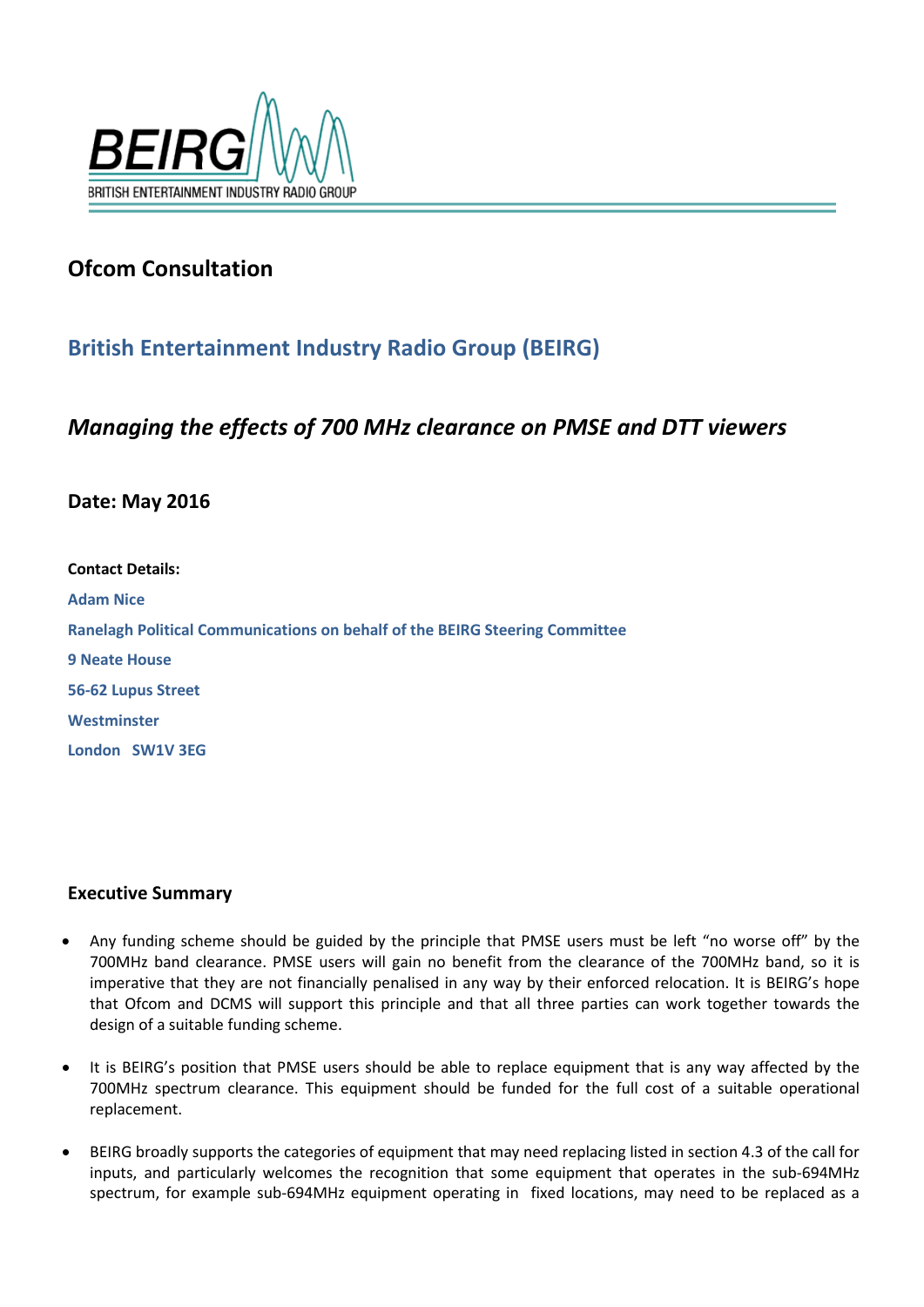

# **Ofcom Consultation**

# **British Entertainment Industry Radio Group (BEIRG)**

## *Managing the effects of 700 MHz clearance on PMSE and DTT viewers*

## **Date: May 2016**

| <b>Contact Details:</b>                                                            |
|------------------------------------------------------------------------------------|
| <b>Adam Nice</b>                                                                   |
| <b>Ranelagh Political Communications on behalf of the BEIRG Steering Committee</b> |
| <b>9 Neate House</b>                                                               |
| 56-62 Lupus Street                                                                 |
| Westminster                                                                        |
| London SW1V 3EG                                                                    |

## **Executive Summary**

- Any funding scheme should be guided by the principle that PMSE users must be left "no worse off" by the 700MHz band clearance. PMSE users will gain no benefit from the clearance of the 700MHz band, so it is imperative that they are not financially penalised in any way by their enforced relocation. It is BEIRG's hope that Ofcom and DCMS will support this principle and that all three parties can work together towards the design of a suitable funding scheme.
- It is BEIRG's position that PMSE users should be able to replace equipment that is any way affected by the 700MHz spectrum clearance. This equipment should be funded for the full cost of a suitable operational replacement.
- BEIRG broadly supports the categories of equipment that may need replacing listed in section 4.3 of the call for inputs, and particularly welcomes the recognition that some equipment that operates in the sub-694MHz spectrum, for example sub-694MHz equipment operating in fixed locations, may need to be replaced as a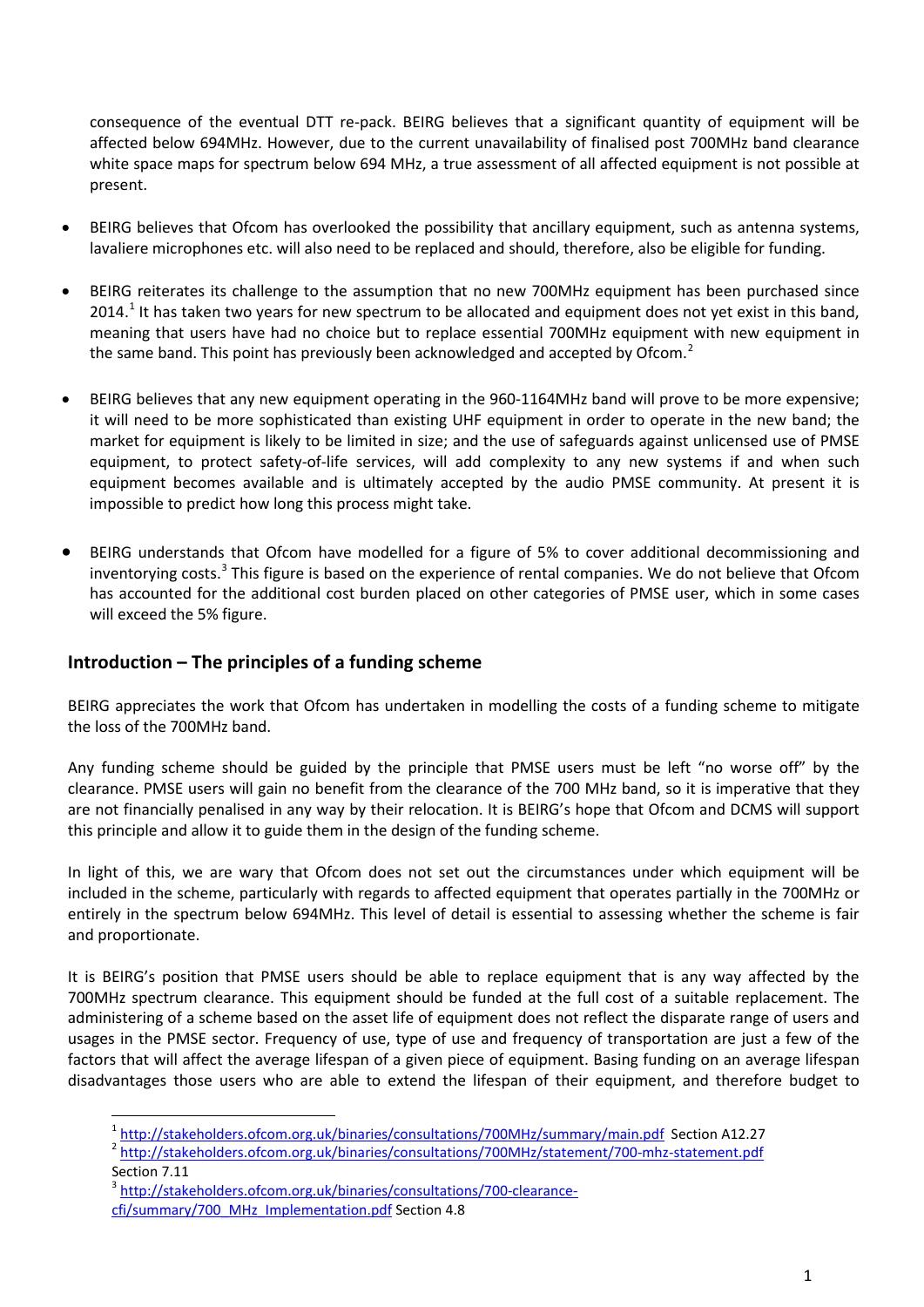consequence of the eventual DTT re-pack. BEIRG believes that a significant quantity of equipment will be affected below 694MHz. However, due to the current unavailability of finalised post 700MHz band clearance white space maps for spectrum below 694 MHz, a true assessment of all affected equipment is not possible at present.

- BEIRG believes that Ofcom has overlooked the possibility that ancillary equipment, such as antenna systems, lavaliere microphones etc. will also need to be replaced and should, therefore, also be eligible for funding.
- BEIRG reiterates its challenge to the assumption that no new 700MHz equipment has been purchased since 20[1](#page-1-0)4.<sup>1</sup> It has taken two years for new spectrum to be allocated and equipment does not yet exist in this band, meaning that users have had no choice but to replace essential 700MHz equipment with new equipment in the same band. This point has previously been acknowledged and accepted by Ofcom. $^2$  $^2$
- BEIRG believes that any new equipment operating in the 960-1164MHz band will prove to be more expensive; it will need to be more sophisticated than existing UHF equipment in order to operate in the new band; the market for equipment is likely to be limited in size; and the use of safeguards against unlicensed use of PMSE equipment, to protect safety-of-life services, will add complexity to any new systems if and when such equipment becomes available and is ultimately accepted by the audio PMSE community. At present it is impossible to predict how long this process might take.
- BEIRG understands that Ofcom have modelled for a figure of 5% to cover additional decommissioning and inventorying costs.<sup>[3](#page-1-2)</sup> This figure is based on the experience of rental companies. We do not believe that Ofcom has accounted for the additional cost burden placed on other categories of PMSE user, which in some cases will exceed the 5% figure.

## **Introduction – The principles of a funding scheme**

BEIRG appreciates the work that Ofcom has undertaken in modelling the costs of a funding scheme to mitigate the loss of the 700MHz band.

Any funding scheme should be guided by the principle that PMSE users must be left "no worse off" by the clearance. PMSE users will gain no benefit from the clearance of the 700 MHz band, so it is imperative that they are not financially penalised in any way by their relocation. It is BEIRG's hope that Ofcom and DCMS will support this principle and allow it to guide them in the design of the funding scheme.

In light of this, we are wary that Ofcom does not set out the circumstances under which equipment will be included in the scheme, particularly with regards to affected equipment that operates partially in the 700MHz or entirely in the spectrum below 694MHz. This level of detail is essential to assessing whether the scheme is fair and proportionate.

It is BEIRG's position that PMSE users should be able to replace equipment that is any way affected by the 700MHz spectrum clearance. This equipment should be funded at the full cost of a suitable replacement. The administering of a scheme based on the asset life of equipment does not reflect the disparate range of users and usages in the PMSE sector. Frequency of use, type of use and frequency of transportation are just a few of the factors that will affect the average lifespan of a given piece of equipment. Basing funding on an average lifespan disadvantages those users who are able to extend the lifespan of their equipment, and therefore budget to

**.** 

<span id="page-1-1"></span><span id="page-1-0"></span><sup>1</sup> <http://stakeholders.ofcom.org.uk/binaries/consultations/700MHz/summary/main.pdf>Section A12.27 <http://stakeholders.ofcom.org.uk/binaries/consultations/700MHz/statement/700-mhz-statement.pdf> Section 7.11

<span id="page-1-2"></span><sup>3</sup> [http://stakeholders.ofcom.org.uk/binaries/consultations/700-clearance-](http://stakeholders.ofcom.org.uk/binaries/consultations/700-clearance-cfi/summary/700_MHz_Implementation.pdf)

[cfi/summary/700\\_MHz\\_Implementation.pdf](http://stakeholders.ofcom.org.uk/binaries/consultations/700-clearance-cfi/summary/700_MHz_Implementation.pdf) Section 4.8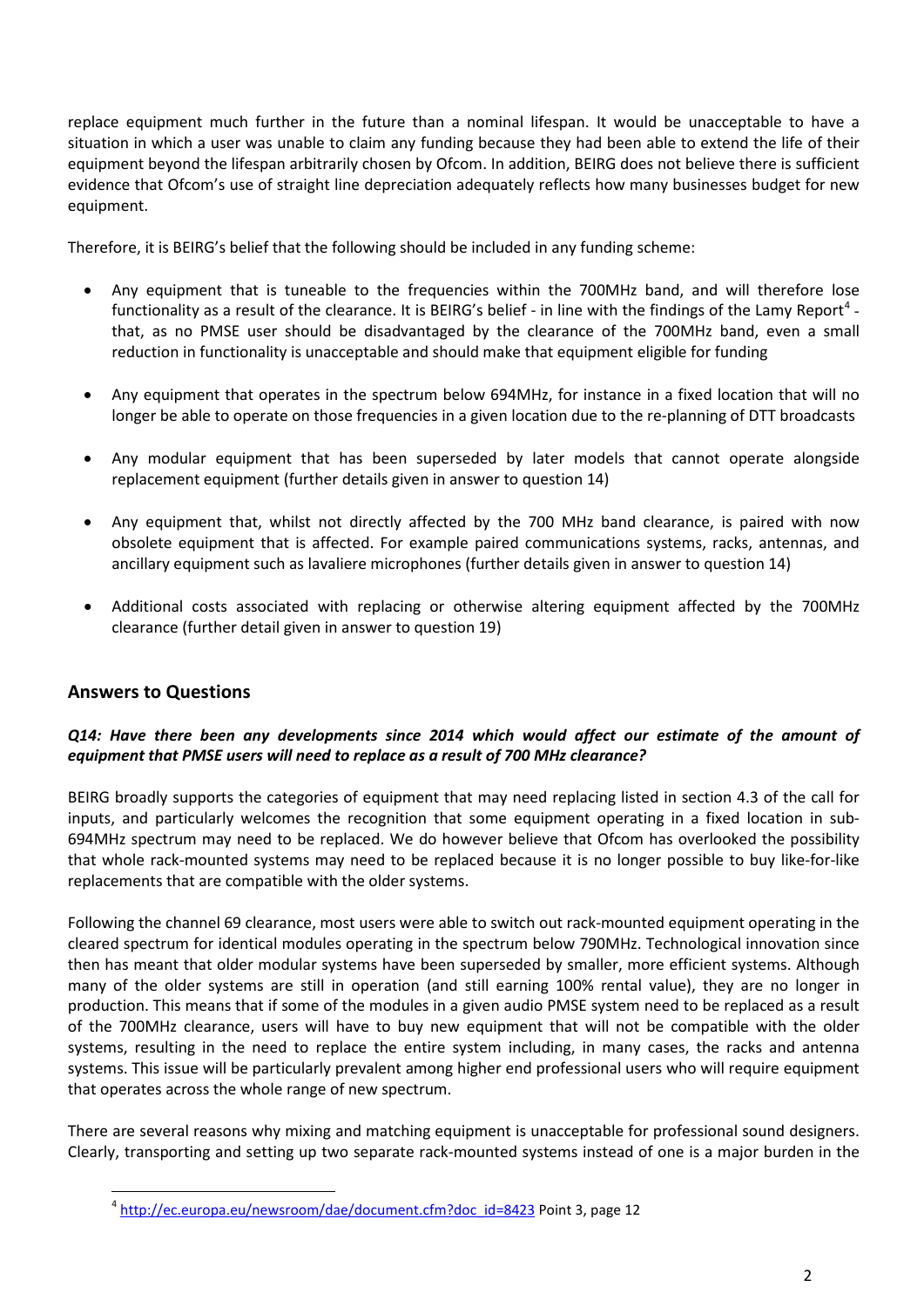replace equipment much further in the future than a nominal lifespan. It would be unacceptable to have a situation in which a user was unable to claim any funding because they had been able to extend the life of their equipment beyond the lifespan arbitrarily chosen by Ofcom. In addition, BEIRG does not believe there is sufficient evidence that Ofcom's use of straight line depreciation adequately reflects how many businesses budget for new equipment.

Therefore, it is BEIRG's belief that the following should be included in any funding scheme:

- Any equipment that is tuneable to the frequencies within the 700MHz band, and will therefore lose functionality as a result of the clearance. It is BEIRG's belief - in line with the findings of the Lamy Report<sup>[4](#page-2-0)</sup> that, as no PMSE user should be disadvantaged by the clearance of the 700MHz band, even a small reduction in functionality is unacceptable and should make that equipment eligible for funding
- Any equipment that operates in the spectrum below 694MHz, for instance in a fixed location that will no longer be able to operate on those frequencies in a given location due to the re-planning of DTT broadcasts
- Any modular equipment that has been superseded by later models that cannot operate alongside replacement equipment (further details given in answer to question 14)
- Any equipment that, whilst not directly affected by the 700 MHz band clearance, is paired with now obsolete equipment that is affected. For example paired communications systems, racks, antennas, and ancillary equipment such as lavaliere microphones (further details given in answer to question 14)
- Additional costs associated with replacing or otherwise altering equipment affected by the 700MHz clearance (further detail given in answer to question 19)

## **Answers to Questions**

 $\overline{a}$ 

#### *Q14: Have there been any developments since 2014 which would affect our estimate of the amount of equipment that PMSE users will need to replace as a result of 700 MHz clearance?*

BEIRG broadly supports the categories of equipment that may need replacing listed in section 4.3 of the call for inputs, and particularly welcomes the recognition that some equipment operating in a fixed location in sub-694MHz spectrum may need to be replaced. We do however believe that Ofcom has overlooked the possibility that whole rack-mounted systems may need to be replaced because it is no longer possible to buy like-for-like replacements that are compatible with the older systems.

Following the channel 69 clearance, most users were able to switch out rack-mounted equipment operating in the cleared spectrum for identical modules operating in the spectrum below 790MHz. Technological innovation since then has meant that older modular systems have been superseded by smaller, more efficient systems. Although many of the older systems are still in operation (and still earning 100% rental value), they are no longer in production. This means that if some of the modules in a given audio PMSE system need to be replaced as a result of the 700MHz clearance, users will have to buy new equipment that will not be compatible with the older systems, resulting in the need to replace the entire system including, in many cases, the racks and antenna systems. This issue will be particularly prevalent among higher end professional users who will require equipment that operates across the whole range of new spectrum.

<span id="page-2-0"></span>There are several reasons why mixing and matching equipment is unacceptable for professional sound designers. Clearly, transporting and setting up two separate rack-mounted systems instead of one is a major burden in the

<sup>4</sup> [http://ec.europa.eu/newsroom/dae/document.cfm?doc\\_id=8423](http://ec.europa.eu/newsroom/dae/document.cfm?doc_id=8423) Point 3, page 12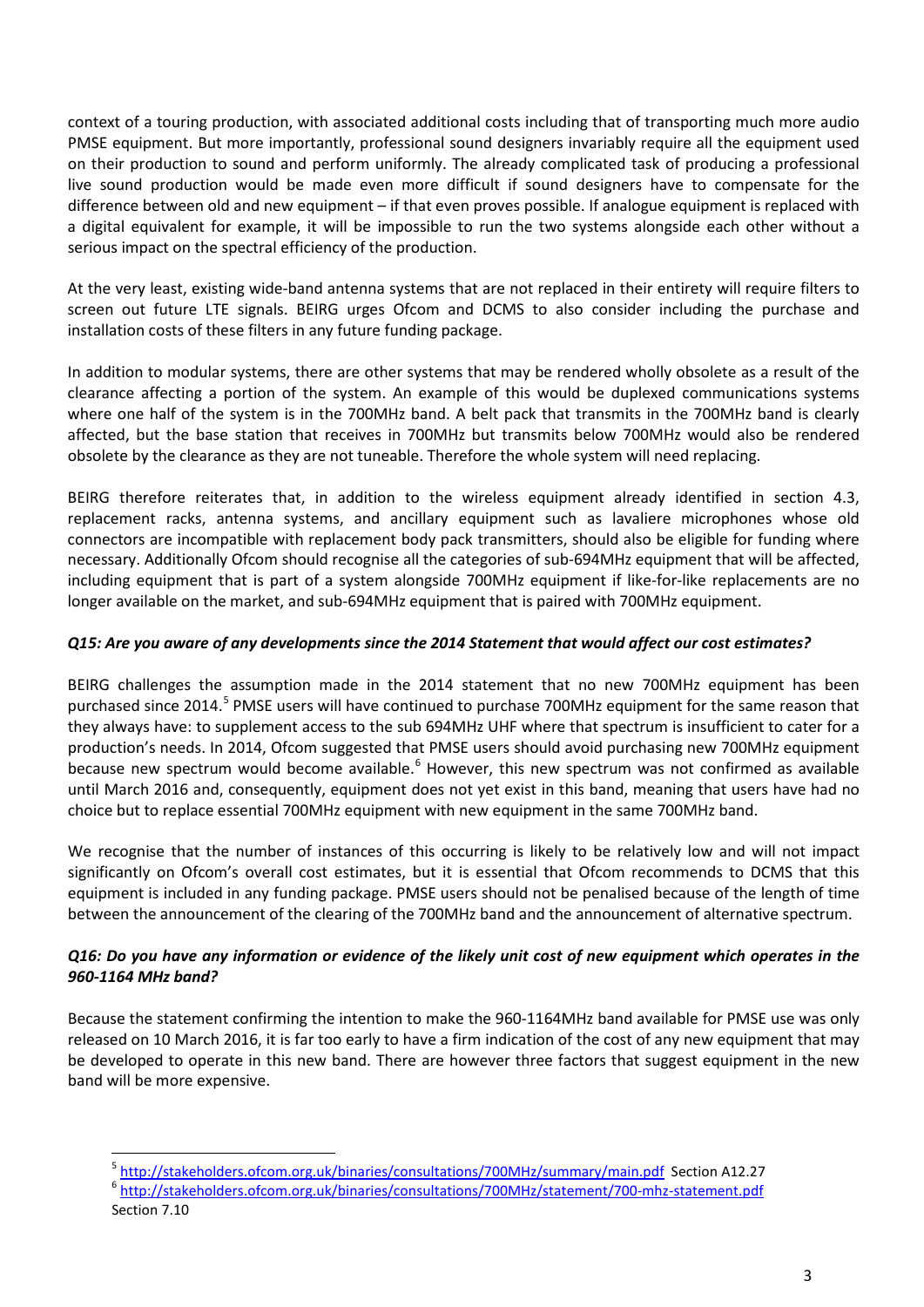context of a touring production, with associated additional costs including that of transporting much more audio PMSE equipment. But more importantly, professional sound designers invariably require all the equipment used on their production to sound and perform uniformly. The already complicated task of producing a professional live sound production would be made even more difficult if sound designers have to compensate for the difference between old and new equipment – if that even proves possible. If analogue equipment is replaced with a digital equivalent for example, it will be impossible to run the two systems alongside each other without a serious impact on the spectral efficiency of the production.

At the very least, existing wide-band antenna systems that are not replaced in their entirety will require filters to screen out future LTE signals. BEIRG urges Ofcom and DCMS to also consider including the purchase and installation costs of these filters in any future funding package.

In addition to modular systems, there are other systems that may be rendered wholly obsolete as a result of the clearance affecting a portion of the system. An example of this would be duplexed communications systems where one half of the system is in the 700MHz band. A belt pack that transmits in the 700MHz band is clearly affected, but the base station that receives in 700MHz but transmits below 700MHz would also be rendered obsolete by the clearance as they are not tuneable. Therefore the whole system will need replacing.

BEIRG therefore reiterates that, in addition to the wireless equipment already identified in section 4.3, replacement racks, antenna systems, and ancillary equipment such as lavaliere microphones whose old connectors are incompatible with replacement body pack transmitters, should also be eligible for funding where necessary. Additionally Ofcom should recognise all the categories of sub-694MHz equipment that will be affected, including equipment that is part of a system alongside 700MHz equipment if like-for-like replacements are no longer available on the market, and sub-694MHz equipment that is paired with 700MHz equipment.

### *Q15: Are you aware of any developments since the 2014 Statement that would affect our cost estimates?*

BEIRG challenges the assumption made in the 2014 statement that no new 700MHz equipment has been purchased since 2014.<sup>[5](#page-3-0)</sup> PMSE users will have continued to purchase 700MHz equipment for the same reason that they always have: to supplement access to the sub 694MHz UHF where that spectrum is insufficient to cater for a production's needs. In 2014, Ofcom suggested that PMSE users should avoid purchasing new 700MHz equipment because new spectrum would become available.<sup>[6](#page-3-1)</sup> However, this new spectrum was not confirmed as available until March 2016 and, consequently, equipment does not yet exist in this band, meaning that users have had no choice but to replace essential 700MHz equipment with new equipment in the same 700MHz band.

We recognise that the number of instances of this occurring is likely to be relatively low and will not impact significantly on Ofcom's overall cost estimates, but it is essential that Ofcom recommends to DCMS that this equipment is included in any funding package. PMSE users should not be penalised because of the length of time between the announcement of the clearing of the 700MHz band and the announcement of alternative spectrum.

### *Q16: Do you have any information or evidence of the likely unit cost of new equipment which operates in the 960-1164 MHz band?*

Because the statement confirming the intention to make the 960-1164MHz band available for PMSE use was only released on 10 March 2016, it is far too early to have a firm indication of the cost of any new equipment that may be developed to operate in this new band. There are however three factors that suggest equipment in the new band will be more expensive.

**.** 

<span id="page-3-0"></span><sup>&</sup>lt;sup>5</sup> <http://stakeholders.ofcom.org.uk/binaries/consultations/700MHz/summary/main.pdf>Section A12.27<br><sup>6</sup> http://stakeholders.ofcom.org.uk/binaries/consultations/700M<u>Hz/statement/700-mhz-statement.pdf</u>

<span id="page-3-1"></span>Section 7.10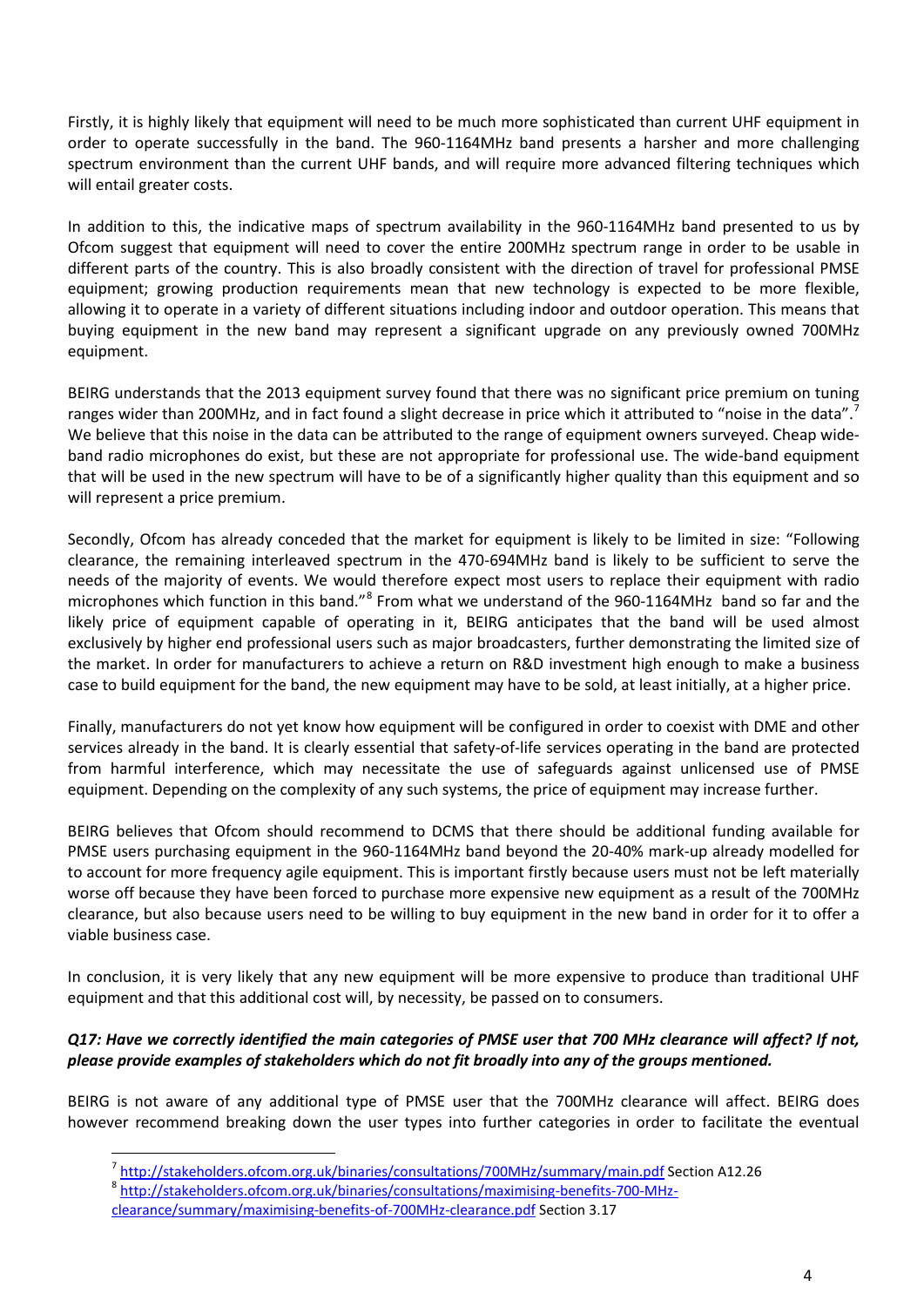Firstly, it is highly likely that equipment will need to be much more sophisticated than current UHF equipment in order to operate successfully in the band. The 960-1164MHz band presents a harsher and more challenging spectrum environment than the current UHF bands, and will require more advanced filtering techniques which will entail greater costs.

In addition to this, the indicative maps of spectrum availability in the 960-1164MHz band presented to us by Ofcom suggest that equipment will need to cover the entire 200MHz spectrum range in order to be usable in different parts of the country. This is also broadly consistent with the direction of travel for professional PMSE equipment; growing production requirements mean that new technology is expected to be more flexible, allowing it to operate in a variety of different situations including indoor and outdoor operation. This means that buying equipment in the new band may represent a significant upgrade on any previously owned 700MHz equipment.

BEIRG understands that the 2013 equipment survey found that there was no significant price premium on tuning ranges wider than 200MHz, and in fact found a slight decrease in price which it attributed to "noise in the data".<sup>[7](#page-4-0)</sup> We believe that this noise in the data can be attributed to the range of equipment owners surveyed. Cheap wideband radio microphones do exist, but these are not appropriate for professional use. The wide-band equipment that will be used in the new spectrum will have to be of a significantly higher quality than this equipment and so will represent a price premium.

Secondly, Ofcom has already conceded that the market for equipment is likely to be limited in size: "Following clearance, the remaining interleaved spectrum in the 470-694MHz band is likely to be sufficient to serve the needs of the majority of events. We would therefore expect most users to replace their equipment with radio microphones which function in this band."[8](#page-4-1) From what we understand of the 960-1164MHz band so far and the likely price of equipment capable of operating in it, BEIRG anticipates that the band will be used almost exclusively by higher end professional users such as major broadcasters, further demonstrating the limited size of the market. In order for manufacturers to achieve a return on R&D investment high enough to make a business case to build equipment for the band, the new equipment may have to be sold, at least initially, at a higher price.

Finally, manufacturers do not yet know how equipment will be configured in order to coexist with DME and other services already in the band. It is clearly essential that safety-of-life services operating in the band are protected from harmful interference, which may necessitate the use of safeguards against unlicensed use of PMSE equipment. Depending on the complexity of any such systems, the price of equipment may increase further.

BEIRG believes that Ofcom should recommend to DCMS that there should be additional funding available for PMSE users purchasing equipment in the 960-1164MHz band beyond the 20-40% mark-up already modelled for to account for more frequency agile equipment. This is important firstly because users must not be left materially worse off because they have been forced to purchase more expensive new equipment as a result of the 700MHz clearance, but also because users need to be willing to buy equipment in the new band in order for it to offer a viable business case.

In conclusion, it is very likely that any new equipment will be more expensive to produce than traditional UHF equipment and that this additional cost will, by necessity, be passed on to consumers.

## *Q17: Have we correctly identified the main categories of PMSE user that 700 MHz clearance will affect? If not, please provide examples of stakeholders which do not fit broadly into any of the groups mentioned.*

<span id="page-4-0"></span>BEIRG is not aware of any additional type of PMSE user that the 700MHz clearance will affect. BEIRG does however recommend breaking down the user types into further categories in order to facilitate the eventual

**.** 

<sup>&</sup>lt;sup>7</sup> <http://stakeholders.ofcom.org.uk/binaries/consultations/700MHz/summary/main.pdf> Section A12.26<br><sup>8</sup> [http://stakeholders.ofcom.org.uk/binaries/consultations/maximising-benefits-700-MHz-](http://stakeholders.ofcom.org.uk/binaries/consultations/maximising-benefits-700-MHz-clearance/summary/maximising-benefits-of-700MHz-clearance.pdf)

<span id="page-4-1"></span>

[clearance/summary/maximising-benefits-of-700MHz-clearance.pdf](http://stakeholders.ofcom.org.uk/binaries/consultations/maximising-benefits-700-MHz-clearance/summary/maximising-benefits-of-700MHz-clearance.pdf) Section 3.17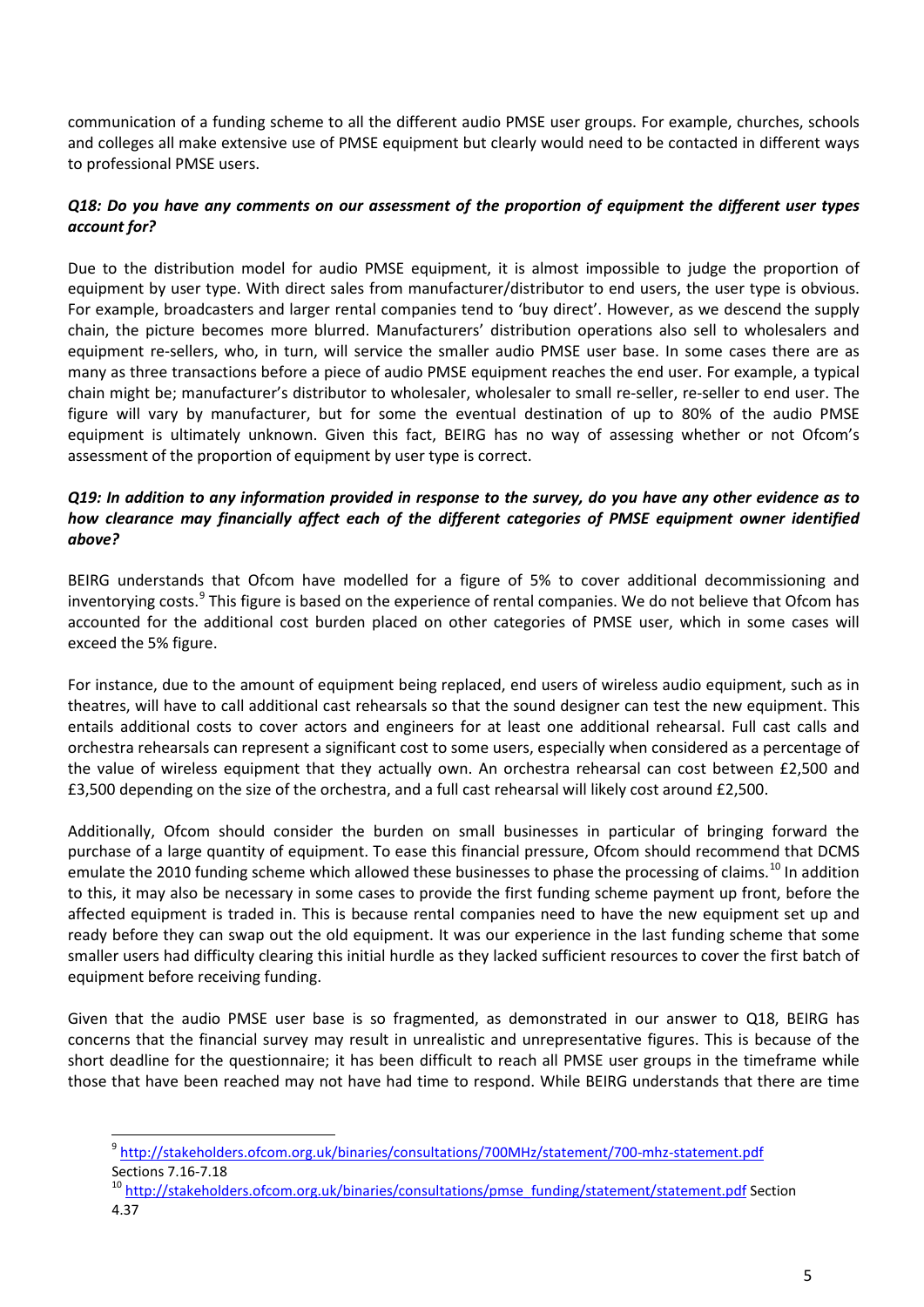communication of a funding scheme to all the different audio PMSE user groups. For example, churches, schools and colleges all make extensive use of PMSE equipment but clearly would need to be contacted in different ways to professional PMSE users.

#### *Q18: Do you have any comments on our assessment of the proportion of equipment the different user types account for?*

Due to the distribution model for audio PMSE equipment, it is almost impossible to judge the proportion of equipment by user type. With direct sales from manufacturer/distributor to end users, the user type is obvious. For example, broadcasters and larger rental companies tend to 'buy direct'. However, as we descend the supply chain, the picture becomes more blurred. Manufacturers' distribution operations also sell to wholesalers and equipment re-sellers, who, in turn, will service the smaller audio PMSE user base. In some cases there are as many as three transactions before a piece of audio PMSE equipment reaches the end user. For example, a typical chain might be; manufacturer's distributor to wholesaler, wholesaler to small re-seller, re-seller to end user. The figure will vary by manufacturer, but for some the eventual destination of up to 80% of the audio PMSE equipment is ultimately unknown. Given this fact, BEIRG has no way of assessing whether or not Ofcom's assessment of the proportion of equipment by user type is correct.

#### *Q19: In addition to any information provided in response to the survey, do you have any other evidence as to how clearance may financially affect each of the different categories of PMSE equipment owner identified above?*

BEIRG understands that Ofcom have modelled for a figure of 5% to cover additional decommissioning and inventorying costs.<sup>[9](#page-5-0)</sup> This figure is based on the experience of rental companies. We do not believe that Ofcom has accounted for the additional cost burden placed on other categories of PMSE user, which in some cases will exceed the 5% figure.

For instance, due to the amount of equipment being replaced, end users of wireless audio equipment, such as in theatres, will have to call additional cast rehearsals so that the sound designer can test the new equipment. This entails additional costs to cover actors and engineers for at least one additional rehearsal. Full cast calls and orchestra rehearsals can represent a significant cost to some users, especially when considered as a percentage of the value of wireless equipment that they actually own. An orchestra rehearsal can cost between £2,500 and £3,500 depending on the size of the orchestra, and a full cast rehearsal will likely cost around £2,500.

Additionally, Ofcom should consider the burden on small businesses in particular of bringing forward the purchase of a large quantity of equipment. To ease this financial pressure, Ofcom should recommend that DCMS emulate the 20[10](#page-5-1) funding scheme which allowed these businesses to phase the processing of claims.<sup>10</sup> In addition to this, it may also be necessary in some cases to provide the first funding scheme payment up front, before the affected equipment is traded in. This is because rental companies need to have the new equipment set up and ready before they can swap out the old equipment. It was our experience in the last funding scheme that some smaller users had difficulty clearing this initial hurdle as they lacked sufficient resources to cover the first batch of equipment before receiving funding.

Given that the audio PMSE user base is so fragmented, as demonstrated in our answer to Q18, BEIRG has concerns that the financial survey may result in unrealistic and unrepresentative figures. This is because of the short deadline for the questionnaire; it has been difficult to reach all PMSE user groups in the timeframe while those that have been reached may not have had time to respond. While BEIRG understands that there are time

 $\overline{a}$ 

<span id="page-5-0"></span><sup>9</sup> <http://stakeholders.ofcom.org.uk/binaries/consultations/700MHz/statement/700-mhz-statement.pdf>

<span id="page-5-1"></span>Sections 7.16-7.18<br><sup>10</sup> [http://stakeholders.ofcom.org.uk/binaries/consultations/pmse\\_funding/statement/statement.pdf](http://stakeholders.ofcom.org.uk/binaries/consultations/pmse_funding/statement/statement.pdf) Section 4.37